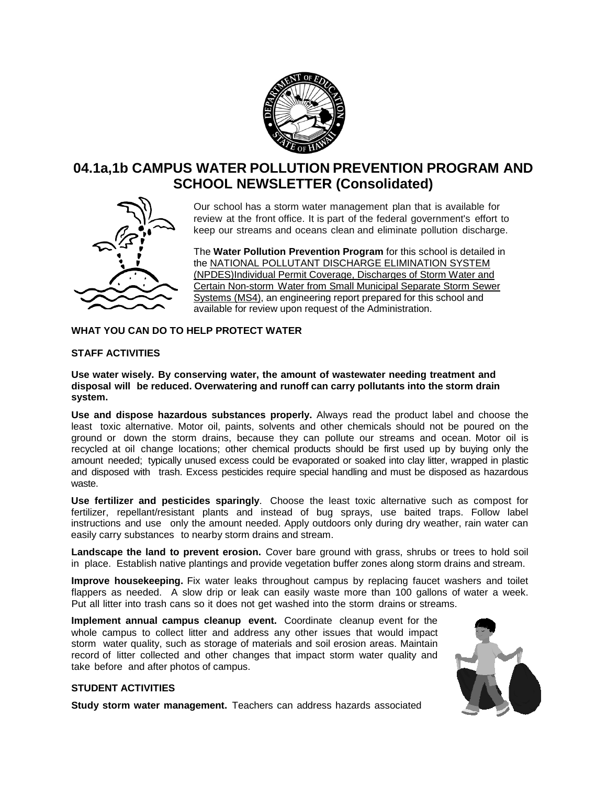

# **04.1a,1b CAMPUS WATER POLLUTION PREVENTION PROGRAM AND SCHOOL NEWSLETTER (Consolidated)**



Our school has a storm water management plan that is available for review at the front office. It is part of the federal government's effort to keep our streams and oceans clean and eliminate pollution discharge.

The **Water Pollution Prevention Program** for this school is detailed in the NATIONAL POLLUTANT DISCHARGE ELIMINATION SYSTEM (NPDES)Individual Permit Coverage, Discharges of Storm Water and Certain Non-storm Water from Small Municipal Separate Storm Sewer Systems (MS4), an engineering report prepared for this school and available for review upon request of the Administration.

### **WHAT YOU CAN DO TO HELP PROTECT WATER**

## **STAFF ACTIVITIES**

**Use water wisely. By conserving water, the amount of wastewater needing treatment and disposal will be reduced. Overwatering and runoff can carry pollutants into the storm drain system.**

**Use and dispose hazardous substances properly.** Always read the product label and choose the least toxic alternative. Motor oil, paints, solvents and other chemicals should not be poured on the ground or down the storm drains, because they can pollute our streams and ocean. Motor oil is recycled at oil change locations; other chemical products should be first used up by buying only the amount needed; typically unused excess could be evaporated or soaked into clay litter, wrapped in plastic and disposed with trash. Excess pesticides require special handling and must be disposed as hazardous waste.

**Use fertilizer and pesticides sparingly**. Choose the least toxic alternative such as compost for fertilizer, repellant/resistant plants and instead of bug sprays, use baited traps. Follow label instructions and use only the amount needed. Apply outdoors only during dry weather, rain water can easily carry substances to nearby storm drains and stream.

**Landscape the land to prevent erosion.** Cover bare ground with grass, shrubs or trees to hold soil in place. Establish native plantings and provide vegetation buffer zones along storm drains and stream.

**Improve housekeeping.** Fix water leaks throughout campus by replacing faucet washers and toilet flappers as needed. A slow drip or leak can easily waste more than 100 gallons of water a week. Put all litter into trash cans so it does not get washed into the storm drains or streams.

**Implement annual campus cleanup event.** Coordinate cleanup event for the whole campus to collect litter and address any other issues that would impact storm water quality, such as storage of materials and soil erosion areas. Maintain record of litter collected and other changes that impact storm water quality and take before and after photos of campus.



### **STUDENT ACTIVITIES**

**Study storm water management.** Teachers can address hazards associated